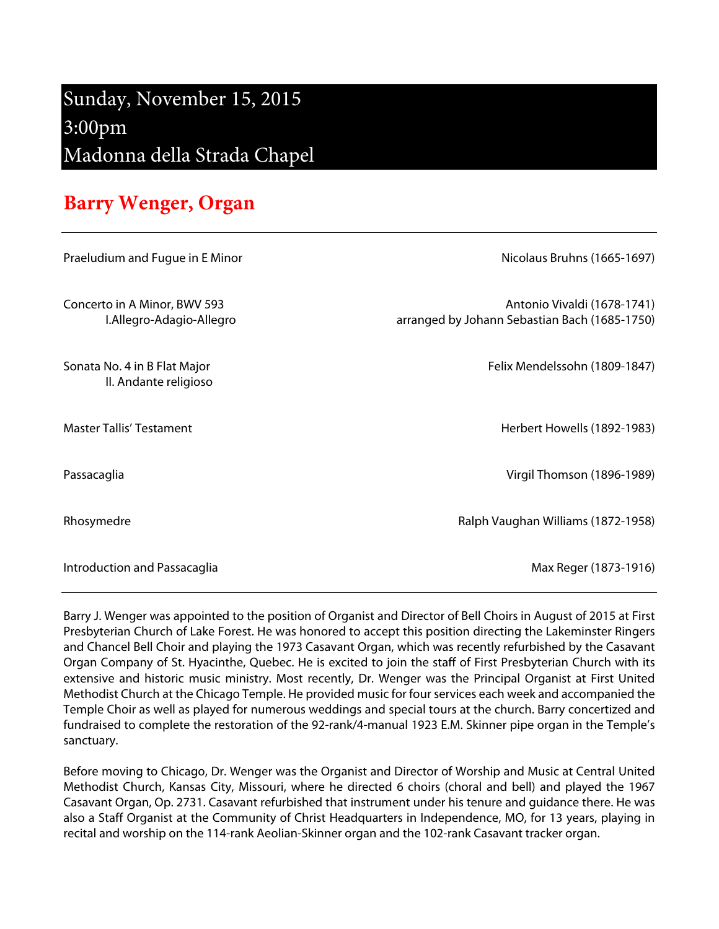## Sunday, November 15, 2015 3:00pm Madonna della Strada Chapel

## **Barry Wenger, Organ**

| Praeludium and Fugue in E Minor                          | Nicolaus Bruhns (1665-1697)                                                  |
|----------------------------------------------------------|------------------------------------------------------------------------------|
| Concerto in A Minor, BWV 593<br>I.Allegro-Adagio-Allegro | Antonio Vivaldi (1678-1741)<br>arranged by Johann Sebastian Bach (1685-1750) |
| Sonata No. 4 in B Flat Major<br>II. Andante religioso    | Felix Mendelssohn (1809-1847)                                                |
| <b>Master Tallis' Testament</b>                          | Herbert Howells (1892-1983)                                                  |
| Passacaglia                                              | Virgil Thomson (1896-1989)                                                   |
| Rhosymedre                                               | Ralph Vaughan Williams (1872-1958)                                           |
| Introduction and Passacaglia                             | Max Reger (1873-1916)                                                        |

Barry J. Wenger was appointed to the position of Organist and Director of Bell Choirs in August of 2015 at First Presbyterian Church of Lake Forest. He was honored to accept this position directing the Lakeminster Ringers and Chancel Bell Choir and playing the 1973 Casavant Organ, which was recently refurbished by the Casavant Organ Company of St. Hyacinthe, Quebec. He is excited to join the staff of First Presbyterian Church with its extensive and historic music ministry. Most recently, Dr. Wenger was the Principal Organist at First United Methodist Church at the Chicago Temple. He provided music for four services each week and accompanied the Temple Choir as well as played for numerous weddings and special tours at the church. Barry concertized and fundraised to complete the restoration of the 92-rank/4-manual 1923 E.M. Skinner pipe organ in the Temple's sanctuary.

Before moving to Chicago, Dr. Wenger was the Organist and Director of Worship and Music at Central United Methodist Church, Kansas City, Missouri, where he directed 6 choirs (choral and bell) and played the 1967 Casavant Organ, Op. 2731. Casavant refurbished that instrument under his tenure and guidance there. He was also a Staff Organist at the Community of Christ Headquarters in Independence, MO, for 13 years, playing in recital and worship on the 114-rank Aeolian-Skinner organ and the 102-rank Casavant tracker organ.